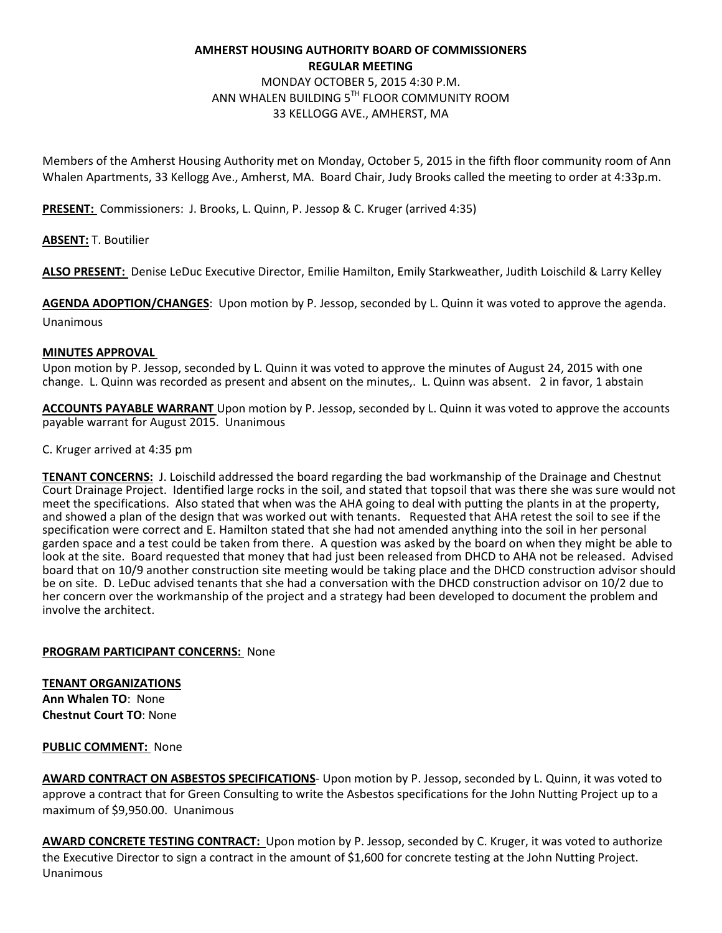# **AMHERST HOUSING AUTHORITY BOARD OF COMMISSIONERS REGULAR MEETING**  MONDAY OCTOBER 5, 2015 4:30 P.M. ANN WHALEN BUILDING 5TH FLOOR COMMUNITY ROOM 33 KELLOGG AVE., AMHERST, MA

Members of the Amherst Housing Authority met on Monday, October 5, 2015 in the fifth floor community room of Ann Whalen Apartments, 33 Kellogg Ave., Amherst, MA. Board Chair, Judy Brooks called the meeting to order at 4:33p.m.

**PRESENT:** Commissioners: J. Brooks, L. Quinn, P. Jessop & C. Kruger (arrived 4:35)

**ABSENT:** T. Boutilier

**ALSO PRESENT:** Denise LeDuc Executive Director, Emilie Hamilton, Emily Starkweather, Judith Loischild & Larry Kelley

**AGENDA ADOPTION/CHANGES**: Upon motion by P. Jessop, seconded by L. Quinn it was voted to approve the agenda. Unanimous

#### **MINUTES APPROVAL**

Upon motion by P. Jessop, seconded by L. Quinn it was voted to approve the minutes of August 24, 2015 with one change. L. Quinn was recorded as present and absent on the minutes,. L. Quinn was absent. 2 in favor, 1 abstain

**ACCOUNTS PAYABLE WARRANT** Upon motion by P. Jessop, seconded by L. Quinn it was voted to approve the accounts payable warrant for August 2015. Unanimous

#### C. Kruger arrived at 4:35 pm

**TENANT CONCERNS:** J. Loischild addressed the board regarding the bad workmanship of the Drainage and Chestnut Court Drainage Project. Identified large rocks in the soil, and stated that topsoil that was there she was sure would not meet the specifications. Also stated that when was the AHA going to deal with putting the plants in at the property, and showed a plan of the design that was worked out with tenants. Requested that AHA retest the soil to see if the specification were correct and E. Hamilton stated that she had not amended anything into the soil in her personal garden space and a test could be taken from there. A question was asked by the board on when they might be able to look at the site. Board requested that money that had just been released from DHCD to AHA not be released. Advised board that on 10/9 another construction site meeting would be taking place and the DHCD construction advisor should be on site. D. LeDuc advised tenants that she had a conversation with the DHCD construction advisor on 10/2 due to her concern over the workmanship of the project and a strategy had been developed to document the problem and involve the architect.

#### **PROGRAM PARTICIPANT CONCERNS:** None

**TENANT ORGANIZATIONS Ann Whalen TO**: None **Chestnut Court TO**: None

#### **PUBLIC COMMENT:** None

**AWARD CONTRACT ON ASBESTOS SPECIFICATIONS**- Upon motion by P. Jessop, seconded by L. Quinn, it was voted to approve a contract that for Green Consulting to write the Asbestos specifications for the John Nutting Project up to a maximum of \$9,950.00. Unanimous

**AWARD CONCRETE TESTING CONTRACT:** Upon motion by P. Jessop, seconded by C. Kruger, it was voted to authorize the Executive Director to sign a contract in the amount of \$1,600 for concrete testing at the John Nutting Project. Unanimous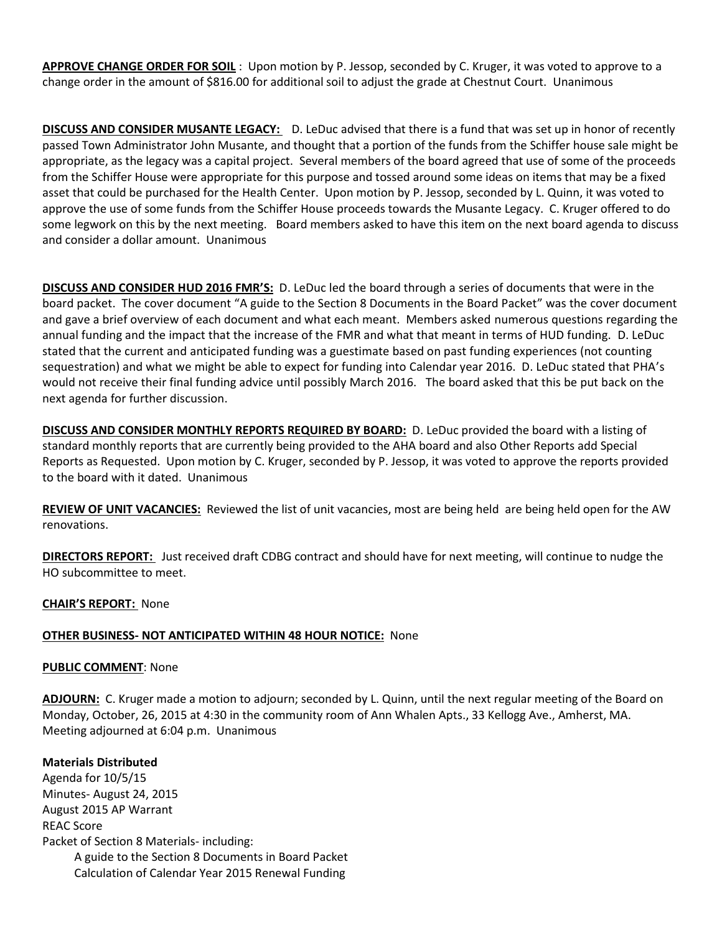**APPROVE CHANGE ORDER FOR SOIL** : Upon motion by P. Jessop, seconded by C. Kruger, it was voted to approve to a change order in the amount of \$816.00 for additional soil to adjust the grade at Chestnut Court. Unanimous

**DISCUSS AND CONSIDER MUSANTE LEGACY:** D. LeDuc advised that there is a fund that was set up in honor of recently passed Town Administrator John Musante, and thought that a portion of the funds from the Schiffer house sale might be appropriate, as the legacy was a capital project. Several members of the board agreed that use of some of the proceeds from the Schiffer House were appropriate for this purpose and tossed around some ideas on items that may be a fixed asset that could be purchased for the Health Center. Upon motion by P. Jessop, seconded by L. Quinn, it was voted to approve the use of some funds from the Schiffer House proceeds towards the Musante Legacy. C. Kruger offered to do some legwork on this by the next meeting. Board members asked to have this item on the next board agenda to discuss and consider a dollar amount. Unanimous

**DISCUSS AND CONSIDER HUD 2016 FMR'S:** D. LeDuc led the board through a series of documents that were in the board packet. The cover document "A guide to the Section 8 Documents in the Board Packet" was the cover document and gave a brief overview of each document and what each meant. Members asked numerous questions regarding the annual funding and the impact that the increase of the FMR and what that meant in terms of HUD funding. D. LeDuc stated that the current and anticipated funding was a guestimate based on past funding experiences (not counting sequestration) and what we might be able to expect for funding into Calendar year 2016. D. LeDuc stated that PHA's would not receive their final funding advice until possibly March 2016. The board asked that this be put back on the next agenda for further discussion.

**DISCUSS AND CONSIDER MONTHLY REPORTS REQUIRED BY BOARD:** D. LeDuc provided the board with a listing of standard monthly reports that are currently being provided to the AHA board and also Other Reports add Special Reports as Requested. Upon motion by C. Kruger, seconded by P. Jessop, it was voted to approve the reports provided to the board with it dated. Unanimous

**REVIEW OF UNIT VACANCIES:** Reviewed the list of unit vacancies, most are being held are being held open for the AW renovations.

**DIRECTORS REPORT:** Just received draft CDBG contract and should have for next meeting, will continue to nudge the HO subcommittee to meet.

### **CHAIR'S REPORT:** None

# **OTHER BUSINESS- NOT ANTICIPATED WITHIN 48 HOUR NOTICE:** None

### **PUBLIC COMMENT**: None

**ADJOURN:** C. Kruger made a motion to adjourn; seconded by L. Quinn, until the next regular meeting of the Board on Monday, October, 26, 2015 at 4:30 in the community room of Ann Whalen Apts., 33 Kellogg Ave., Amherst, MA. Meeting adjourned at 6:04 p.m. Unanimous

### **Materials Distributed**

Agenda for 10/5/15 Minutes- August 24, 2015 August 2015 AP Warrant REAC Score Packet of Section 8 Materials- including: A guide to the Section 8 Documents in Board Packet Calculation of Calendar Year 2015 Renewal Funding